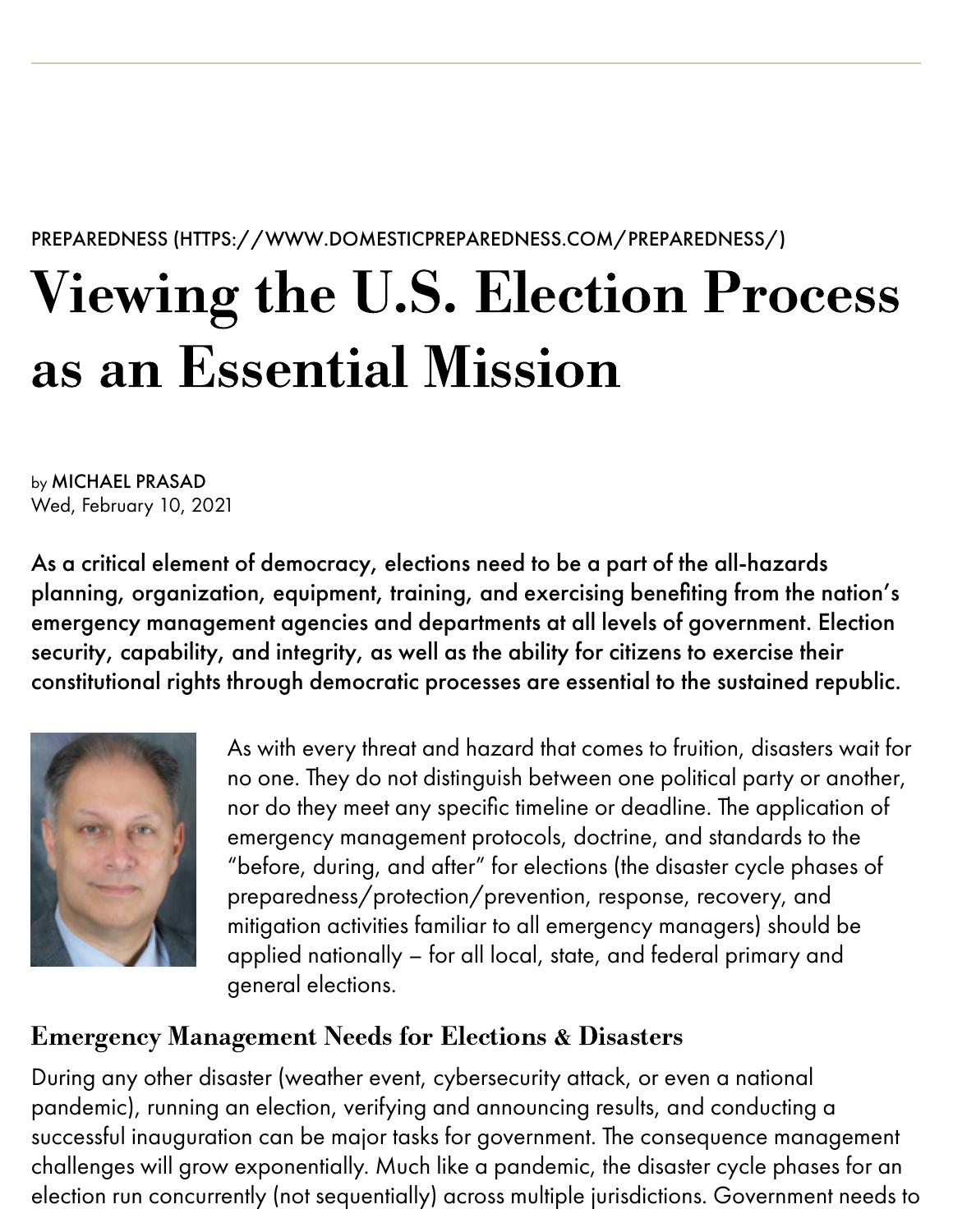PREPAREDNESS [\(HTTPS://WWW.DOMESTICPREPAREDNESS.COM/PREPAREDNESS/\)](https://domprep.com/preparedness/)

# Viewing the U.S. Election Process as an Essential Mission

by MICHAEL PRASAD Wed, February 10, 2021

As a critical element of democracy, elections need to be a part of the all-hazards planning, organization, equipment, training, and exercising benefiting from the nation's emergency management agencies and departments at all levels of government. Election security, capability, and integrity, as well as the ability for citizens to exercise their constitutional rights through democratic processes are essential to the sustained republic.



As with every threat and hazard that comes to fruition, disasters wait for no one. They do not distinguish between one political party or another, nor do they meet any specific timeline or deadline. The application of emergency management protocols, doctrine, and standards to the "before, during, and after" for elections (the disaster cycle phases of preparedness/protection/prevention, response, recovery, and mitigation activities familiar to all emergency managers) should be applied nationally – for all local, state, and federal primary and general elections.

#### Emergency Management Needs for Elections & Disasters

During any other disaster (weather event, cybersecurity attack, or even a national pandemic), running an election, verifying and announcing results, and conducting a successful inauguration can be major tasks for government. The consequence management challenges will grow exponentially. Much like a pandemic, the disaster cycle phases for an election run concurrently (not sequentially) across multiple jurisdictions. Government needs to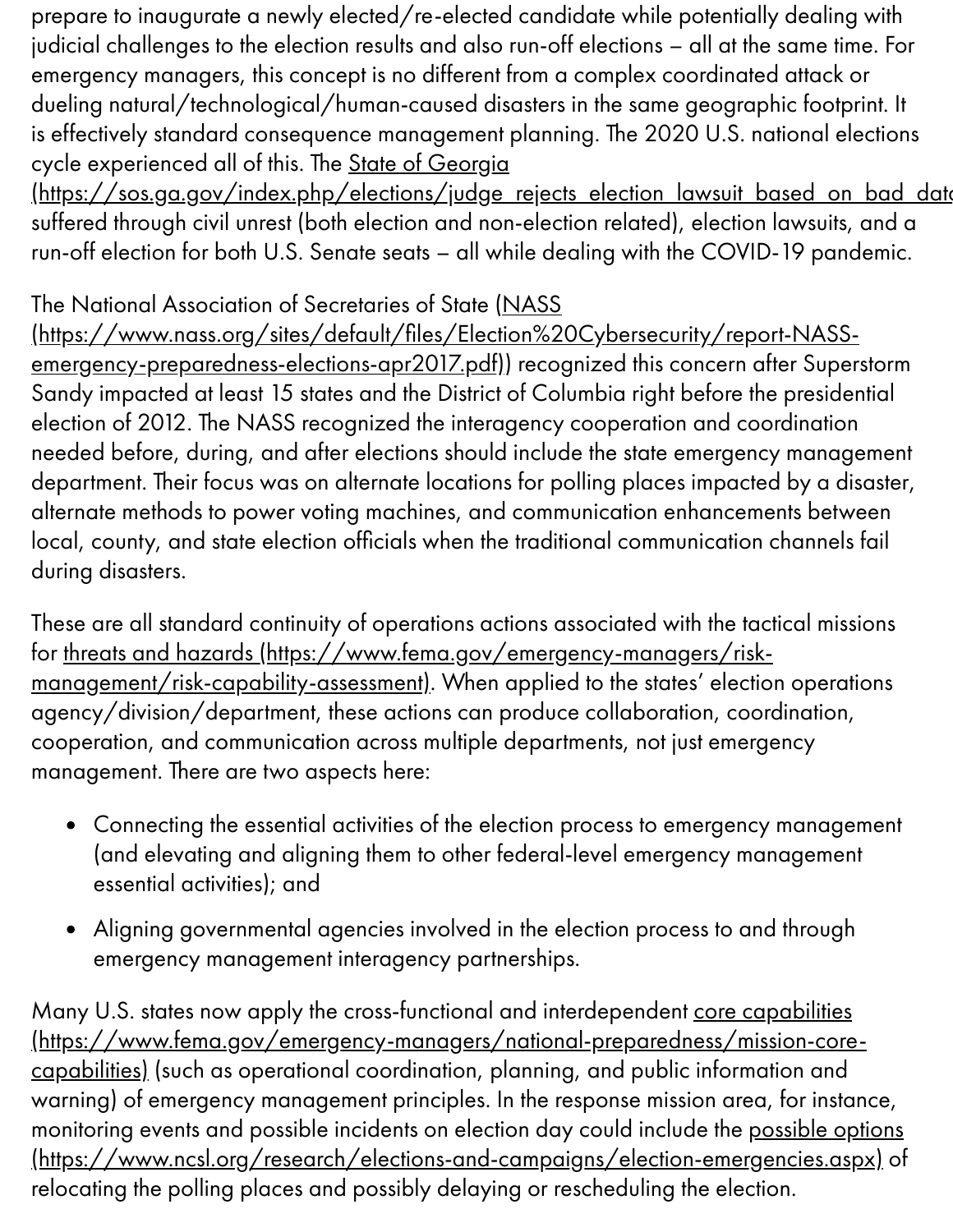prepare to inaugurate a newly elected/re-elected candidate while potentially dealing with judicial challenges to the election results and also run-off elections – all at the same time. For emergency managers, this concept is no different from a complex coordinated attack or dueling natural/technological/human-caused disasters in the same geographic footprint. It is effectively standard consequence management planning. The 2020 U.S. national elections cycle experienced all of this. The State of Georgia

[\(https://sos.ga.gov/index.php/elections/judge\\_rejects\\_election\\_lawsuit\\_based\\_on\\_bad\\_data](https://sos.ga.gov/index.php/elections/judge_rejects_election_lawsuit_based_on_bad_data) suffered through civil unrest (both election and non-election related), election lawsuits, and a run-off election for both U.S. Senate seats – all while dealing with the COVID-19 pandemic.

#### The National Association of Secretaries of State (NASS

(https://www.nass.org/sites/default/files/Election%20Cybersecurity/report-NASSemergency-preparedness-elections-apr2017.pdf)) recognized this concern after Superstorm Sandy impacted at least 15 states and the District of Columbia right before the presidential election of 2012. The NASS recognized the interagency cooperation and coordination needed before, during, and after elections should include the state emergency management department. Their focus was on alternate locations for polling places impacted by a disaster, alternate methods to power voting machines, and communication enhancements between local, county, and state election officials when the traditional communication channels fail during disasters.

These are all standard continuity of operations actions associated with the tactical missions for threats and hazards [\(https://www.fema.gov/emergency-managers/risk](https://www.fema.gov/emergency-managers/risk-management/risk-capability-assessment)management/risk-capability-assessment). When applied to the states' election operations agency/division/department, these actions can produce collaboration, coordination, cooperation, and communication across multiple departments, not just emergency management. There are two aspects here:

- Connecting the essential activities of the election process to emergency management (and elevating and aligning them to other federal-level emergency management essential activities); and
- Aligning governmental agencies involved in the election process to and through  $\bullet$ emergency management interagency partnerships.

Many U.S. states now apply the cross-functional and interdependent core capabilities [\(https://www.fema.gov/emergency-managers/national-preparedness/mission-core](https://www.fema.gov/emergency-managers/national-preparedness/mission-core-capabilities)capabilities) (such as operational coordination, planning, and public information and warning) of emergency management principles. In the response mission area, for instance, monitoring events and possible incidents on election day could include the possible options [\(https://www.ncsl.org/research/elections-and-campaigns/election-emergencies.aspx\)](https://www.ncsl.org/research/elections-and-campaigns/election-emergencies.aspx) of relocating the polling places and possibly delaying or rescheduling the election.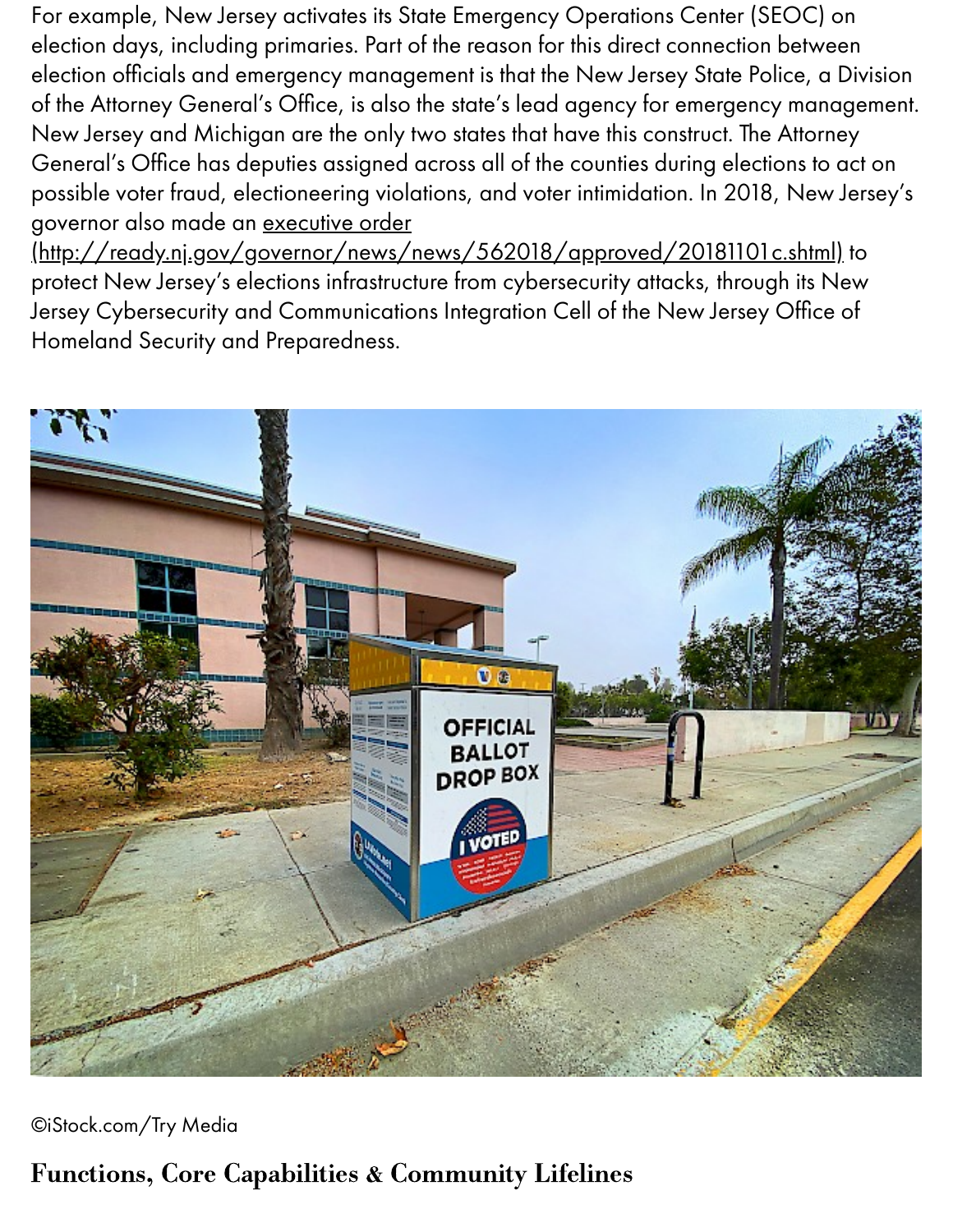For example, New Jersey activates its State Emergency Operations Center (SEOC) on election days, including primaries. Part of the reason for this direct connection between election officials and emergency management is that the New Jersey State Police, a Division of the Attorney General's Office, is also the state's lead agency for emergency management. New Jersey and Michigan are the only two states that have this construct. The Attorney General's Office has deputies assigned across all of the counties during elections to act on possible voter fraud, electioneering violations, and voter intimidation. In 2018, New Jersey's governor also made an executive order

[\(http://ready.nj.gov/governor/news/news/562018/approved/20181101c.shtml\)](http://ready.nj.gov/governor/news/news/562018/approved/20181101c.shtml) to protect New Jersey's elections infrastructure from cybersecurity attacks, through its New Jersey Cybersecurity and Communications Integration Cell of the New Jersey Office of Homeland Security and Preparedness.



©iStock.com/Try Media

### Functions, Core Capabilities & Community Lifelines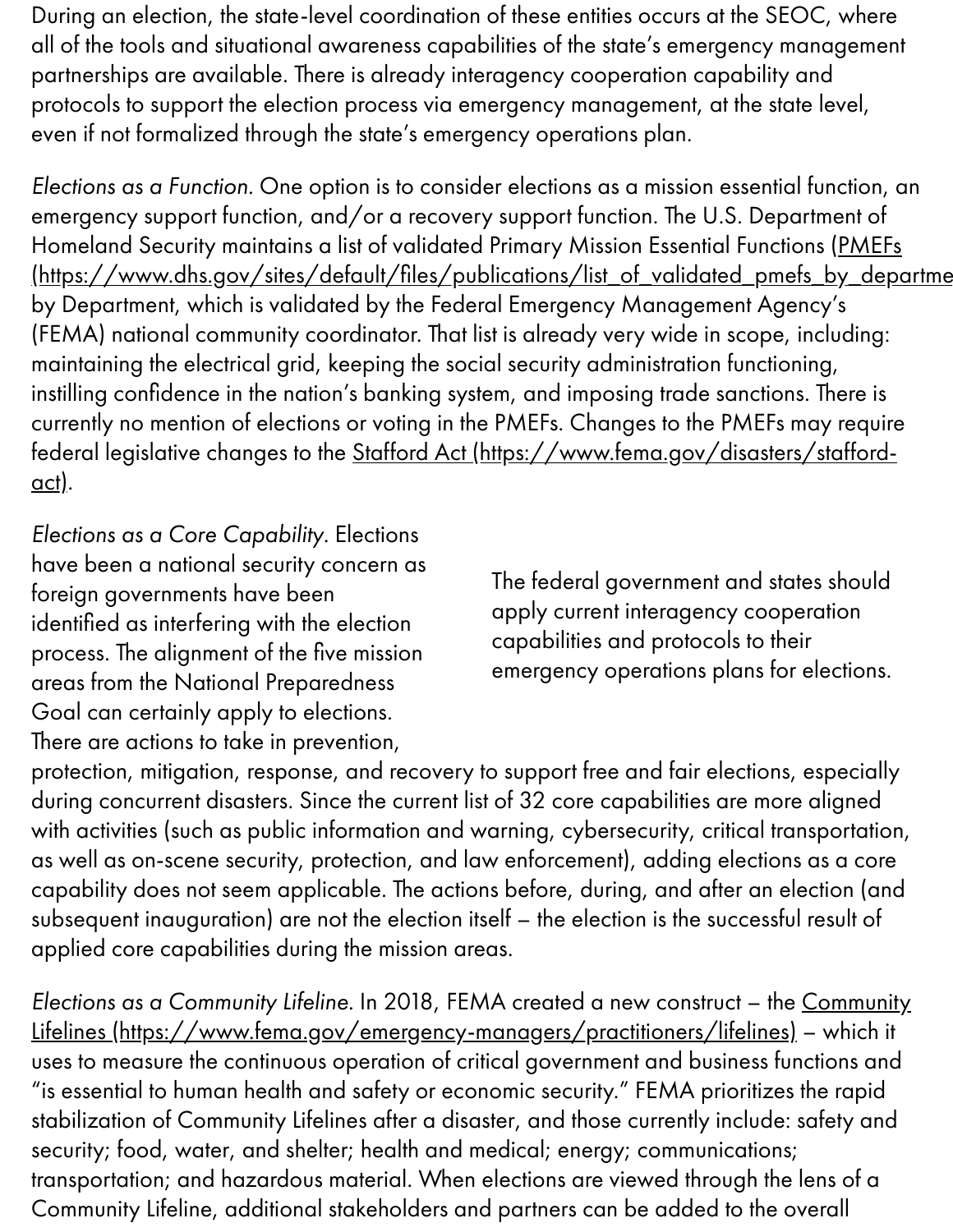During an election, the state-level coordination of these entities occurs at the SEOC, where all of the tools and situational awareness capabilities of the state's emergency management partnerships are available. There is already interagency cooperation capability and protocols to support the election process via emergency management, at the state level, even if not formalized through the state's emergency operations plan.

Elections as a Function. One option is to consider elections as a mission essential function, an emergency support function, and/or a recovery support function. The U.S. Department of Homeland Security maintains a list of validated Primary Mission Essential Functions (PMEFs (https://www.dhs.gov/sites/default/files/publications/list\_of\_validated\_pmefs\_by\_departme by Department, which is validated by the Federal Emergency Management Agency's (FEMA) national community coordinator. That list is already very wide in scope, including: maintaining the electrical grid, keeping the social security administration functioning, instilling confidence in the nation's banking system, and imposing trade sanctions. There is currently no mention of elections or voting in the PMEFs. Changes to the PMEFs may require federal legislative changes to the Stafford Act [\(https://www.fema.gov/disasters/stafford](https://www.fema.gov/disasters/stafford-act)act).

Elections as a Core Capability. Elections have been a national security concern as foreign governments have been identified as interfering with the election process. The alignment of the five mission areas from the National Preparedness Goal can certainly apply to elections. There are actions to take in prevention,

The federal government and states should apply current interagency cooperation capabilities and protocols to their emergency operations plans for elections.

protection, mitigation, response, and recovery to support free and fair elections, especially during concurrent disasters. Since the current list of 32 core capabilities are more aligned with activities (such as public information and warning, cybersecurity, critical transportation, as well as on-scene security, protection, and law enforcement), adding elections as a core capability does not seem applicable. The actions before, during, and after an election (and subsequent inauguration) are not the election itself – the election is the successful result of applied core capabilities during the mission areas.

Elections as a Community Lifeline. In 2018, FEMA created a new construct – the Community Lifelines [\(https://www.fema.gov/emergency-managers/practitioners/lifelines\)](https://www.fema.gov/emergency-managers/practitioners/lifelines) – which it uses to measure the continuous operation of critical government and business functions and "is essential to human health and safety or economic security." FEMA prioritizes the rapid stabilization of Community Lifelines after a disaster, and those currently include: safety and security; food, water, and shelter; health and medical; energy; communications; transportation; and hazardous material. When elections are viewed through the lens of a Community Lifeline, additional stakeholders and partners can be added to the overall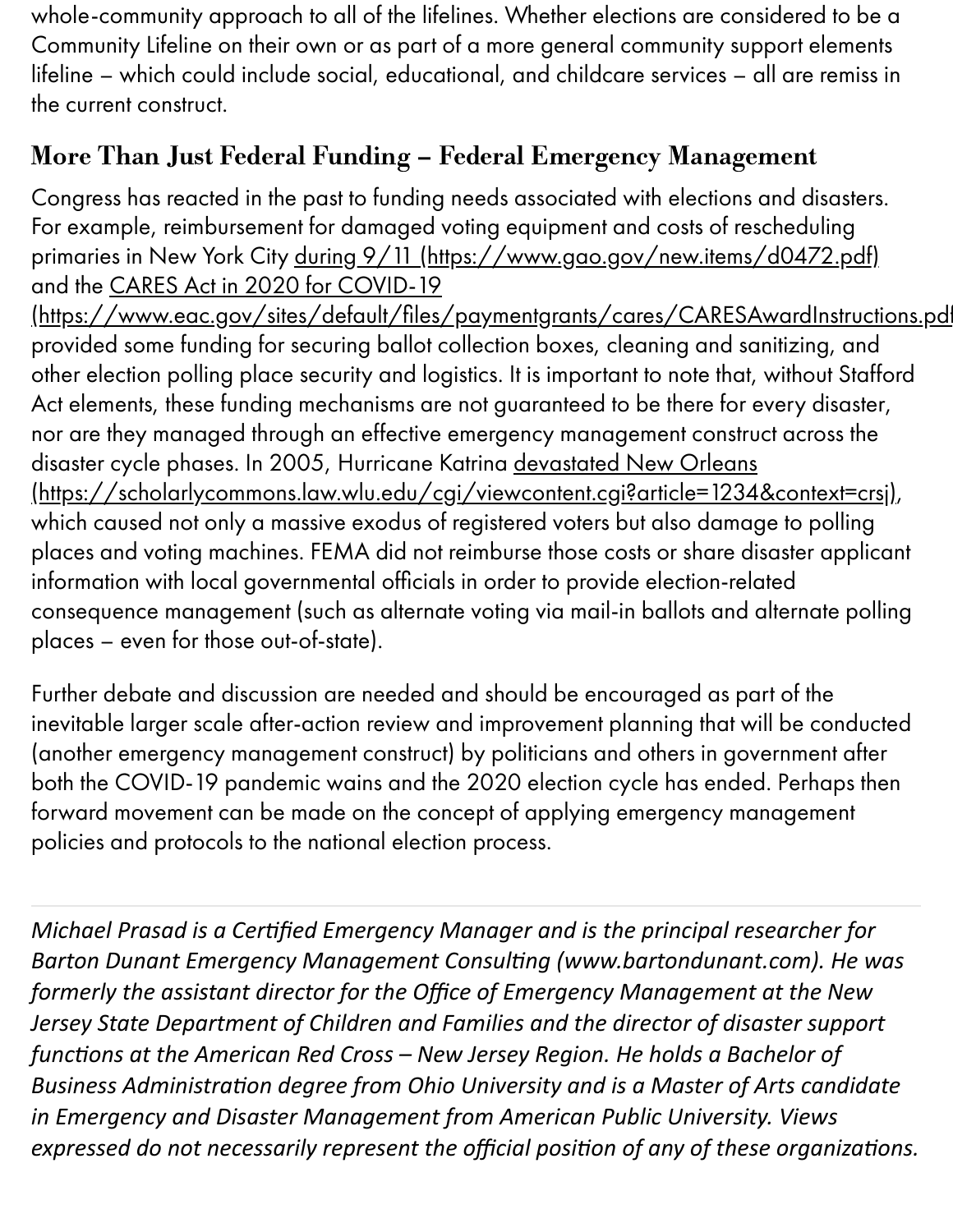whole-community approach to all of the lifelines. Whether elections are considered to be a Community Lifeline on their own or as part of a more general community support elements lifeline – which could include social, educational, and childcare services – all are remiss in the current construct.

## More Than Just Federal Funding – Federal Emergency Management

Congress has reacted in the past to funding needs associated with elections and disasters. For example, reimbursement for damaged voting equipment and costs of rescheduling primaries in New York City during 9/11 [\(https://www.gao.gov/new.items/d0472.pdf\)](https://www.gao.gov/new.items/d0472.pdf) and the CARES Act in 2020 for COVID-19

(https://www.eac.gov/sites/default/files/paymentgrants/cares/CARESAwardInstructions.pdf provided some funding for securing ballot collection boxes, cleaning and sanitizing, and other election polling place security and logistics. It is important to note that, without Stafford Act elements, these funding mechanisms are not guaranteed to be there for every disaster, nor are they managed through an effective emergency management construct across the disaster cycle phases. In 2005, Hurricane Katrina devastated New Orleans [\(https://scholarlycommons.law.wlu.edu/cgi/viewcontent.cgi?article=1234&context=crsj\)](https://scholarlycommons.law.wlu.edu/cgi/viewcontent.cgi?article=1234&context=crsj), which caused not only a massive exodus of registered voters but also damage to polling places and voting machines. FEMA did not reimburse those costs or share disaster applicant information with local governmental officials in order to provide election-related consequence management (such as alternate voting via mail-in ballots and alternate polling places – even for those out-of-state).

Further debate and discussion are needed and should be encouraged as part of the inevitable larger scale after-action review and improvement planning that will be conducted (another emergency management construct) by politicians and others in government after both the COVID-19 pandemic wains and the 2020 election cycle has ended. Perhaps then forward movement can be made on the concept of applying emergency management policies and protocols to the national election process.

*Michael Prasad is a Cerfied Emergency Manager and is the principal researcher for* Barton Dunant Emergency Management Consulting (www.bartondunant.com). He was *formerly the assistant director for the Office of Emergency Management at the New Jersey State Department of Children and Families and the director of disaster support* functions at the American Red Cross - New Jersey Region. He holds a Bachelor of **Business Administration degree from Ohio University and is a Master of Arts candidate** *in Emergency and Disaster Management from American Public University. Views expressed do not necessarily represent the official position of any of these organizations.*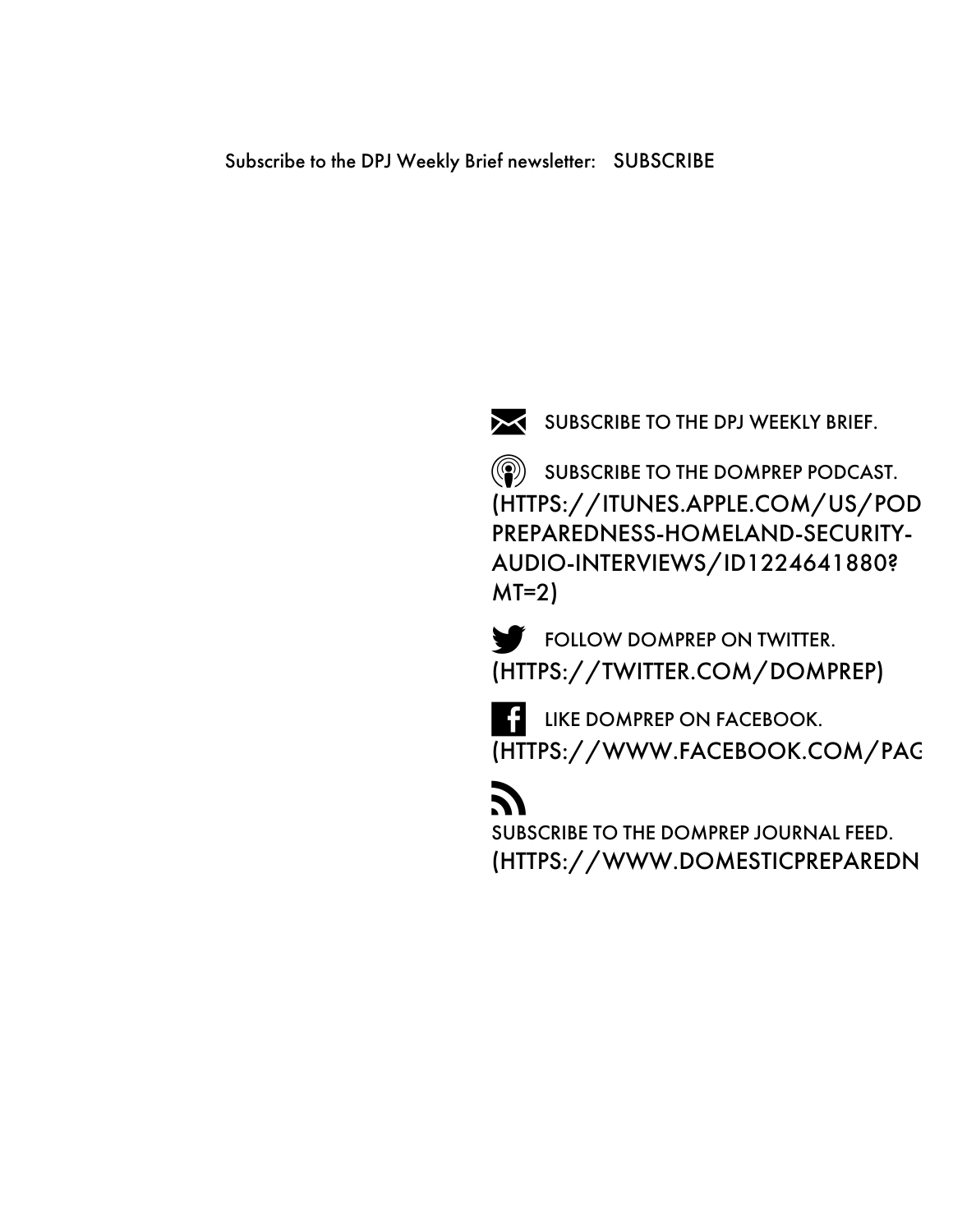

[SUBSCRIBE](javascript:void(null);) TO THE DPJ WEEKLY BRIEF.

**SUBSCRIBE TO THE DOMPREP PODCAST.** [\(HTTPS://ITUNES.APPLE.COM/US/POD](https://itunes.apple.com/us/podcast/domestic-preparedness-homeland-security-audio-interviews/id1224641880?mt=2) PREPAREDNESS-HOMELAND-SECURITY-AUDIO-INTERVIEWS/ID1224641880? MT=2)

**FOLLOW DOMPREP ON TWITTER.** [\(HTTPS://TWITTER.COM/DOMPREP\)](https://twitter.com/DomPrep)

**LIKE DOMPREP ON FACEBOOK.** [\(HTTPS://WWW.FACEBOOK.COM/PAG](https://www.facebook.com/pages/DomPrep/114032779533)

# **R**

SUBSCRIBE TO THE DOMPREP JOURNAL FEED. [\(HTTPS://WWW.DOMESTICPREPAREDN](https://domprep.com/Feed/)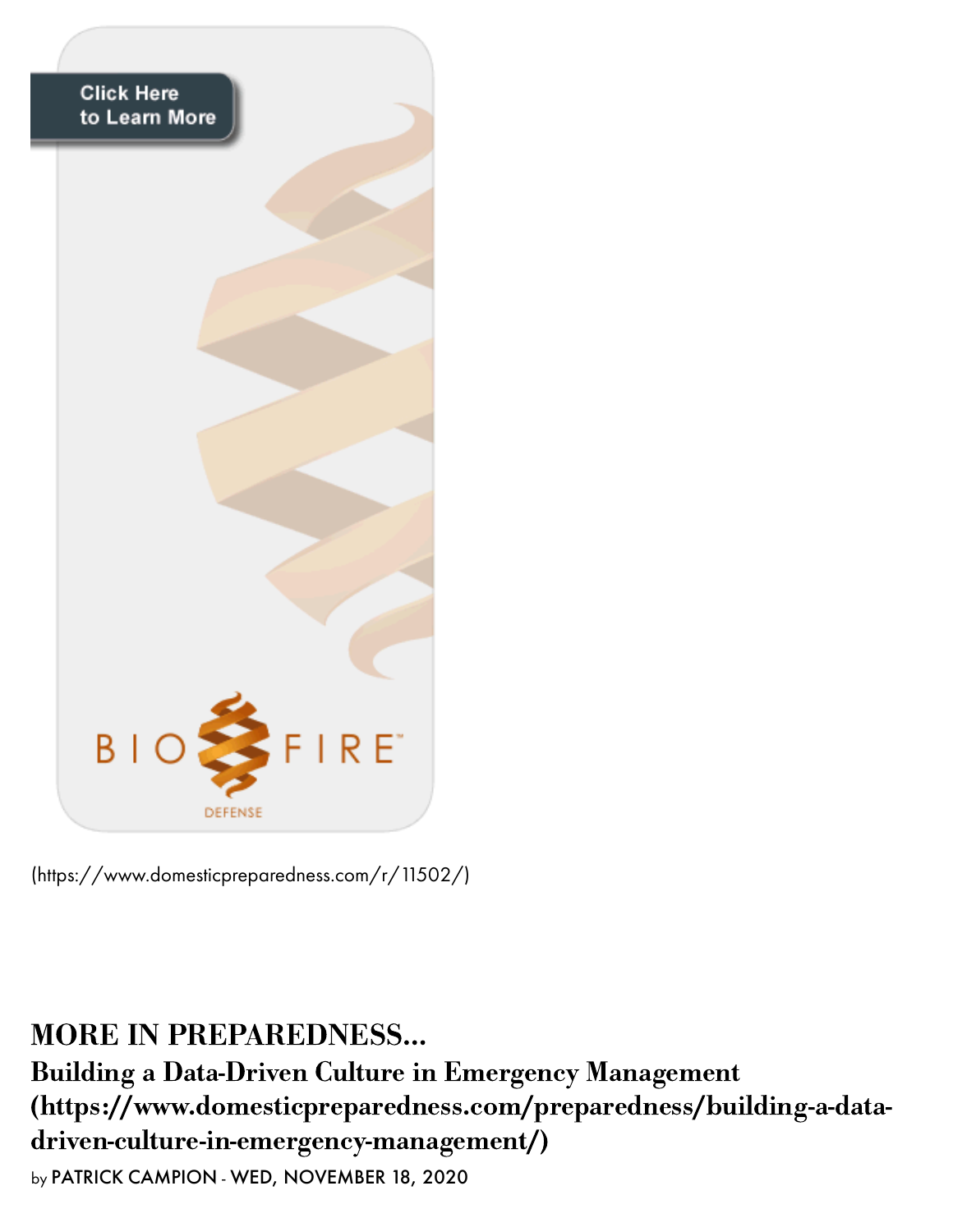

[\(https://www.domesticpreparedness.com/r/11502/\)](https://domprep.com/r/11502/)

MORE IN PREPAREDNESS… Building a Data-Driven Culture in Emergency Management [\(https://www.domesticpreparedness.com/preparedness/building-a-data](https://domprep.com/preparedness/building-a-data-driven-culture-in-emergency-management/)driven-culture-in-emergency-management/) by PATRICK CAMPION - WED, NOVEMBER 18, 2020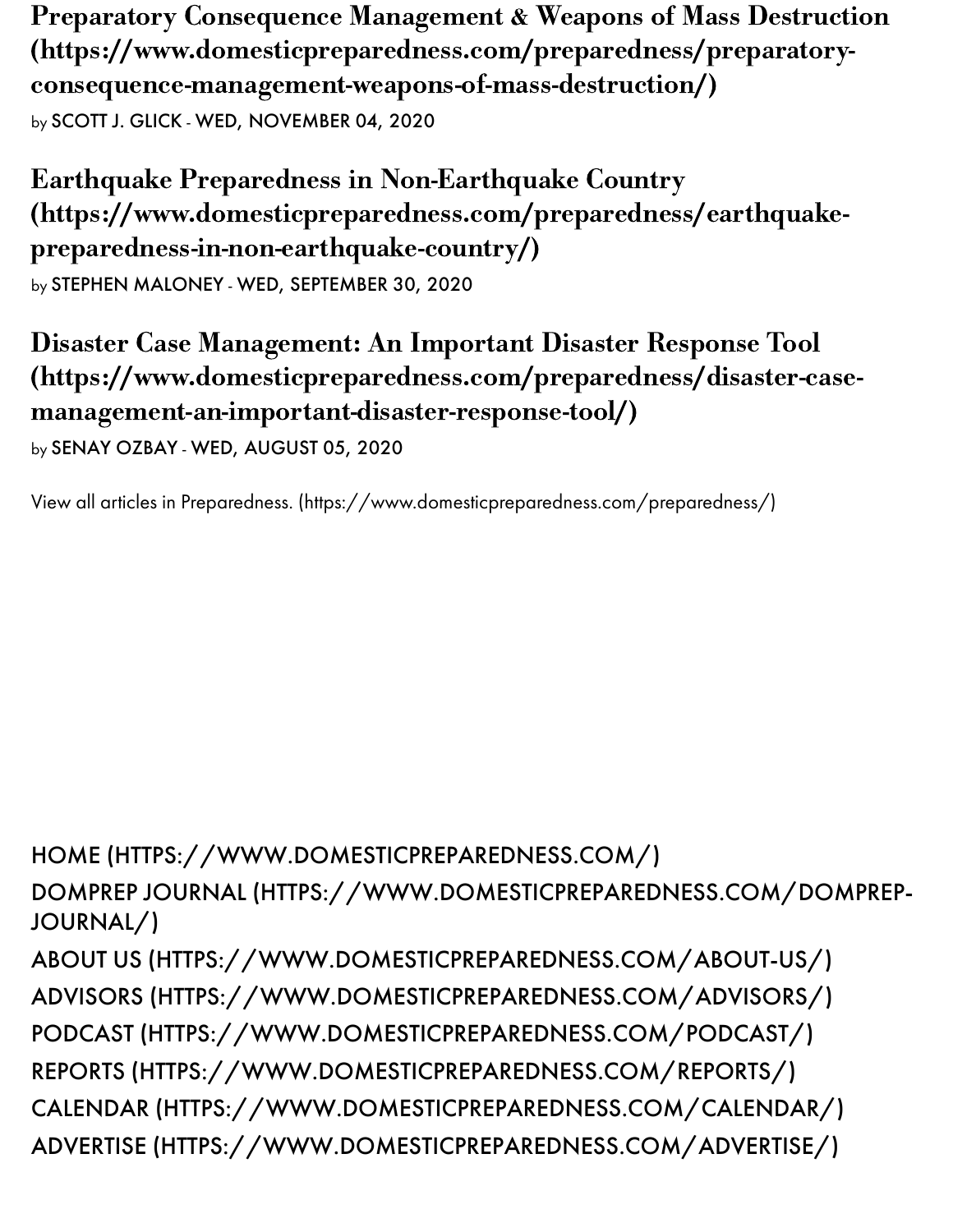Preparatory Consequence Management & Weapons of Mass Destruction [\(https://www.domesticpreparedness.com/preparedness/preparatory](https://domprep.com/preparedness/preparatory-consequence-management-weapons-of-mass-destruction/)consequence-management-weapons-of-mass-destruction/) by SCOTT J. GLICK - WED, NOVEMBER 04, 2020

Earthquake Preparedness in Non-Earthquake Country [\(https://www.domesticpreparedness.com/preparedness/earthquake](https://domprep.com/preparedness/earthquake-preparedness-in-non-earthquake-country/)preparedness-in-non-earthquake-country/) by STEPHEN MALONEY - WED, SEPTEMBER 30, 2020

Disaster Case Management: An Important Disaster Response Tool [\(https://www.domesticpreparedness.com/preparedness/disaster-case](https://domprep.com/preparedness/disaster-case-management-an-important-disaster-response-tool/)management-an-important-disaster-response-tool/)

by SENAY OZBAY - WED, AUGUST 05, 2020

View all articles in Preparedness. [\(https://www.domesticpreparedness.com/preparedness/\)](https://domprep.com/preparedness/)

HOME [\(HTTPS://WWW.DOMESTICPREPAREDNESS.COM/\)](https://domprep.com/) DOMPREP JOURNAL [\(HTTPS://WWW.DOMESTICPREPAREDNESS.COM/DOMPREP-](https://domprep.com/domprep-journal/)JOURNAL/) ABOUT US [\(HTTPS://WWW.DOMESTICPREPAREDNESS.COM/ABOUT-US/\)](https://domprep.com/about-us/) ADVISORS [\(HTTPS://WWW.DOMESTICPREPAREDNESS.COM/ADVISORS/\)](https://domprep.com/advisors/) PODCAST [\(HTTPS://WWW.DOMESTICPREPAREDNESS.COM/PODCAST/\)](https://domprep.com/podcast/) REPORTS [\(HTTPS://WWW.DOMESTICPREPAREDNESS.COM/REPORTS/\)](https://domprep.com/reports/) CALENDAR [\(HTTPS://WWW.DOMESTICPREPAREDNESS.COM/CALENDAR/\)](https://domprep.com/calendar/) ADVERTISE [\(HTTPS://WWW.DOMESTICPREPAREDNESS.COM/ADVERTISE/\)](https://domprep.com/advertise/)